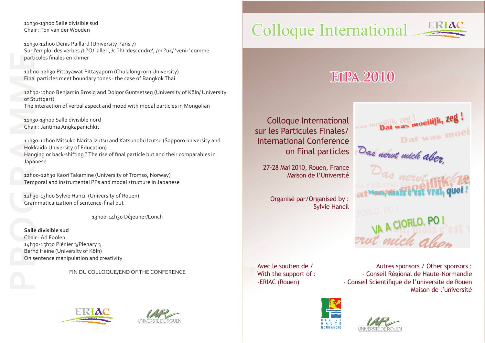11h30‐13h00 Salle divisible sud Chair : Ton van der Wouden

11h30‐12h00 Denis Paillard (University Paris 7) Sur l'emploi des verbes /t ?O/ 'aller', /c ?h/ 'descendre', /m ?uk/ 'venir' comme particules finales en khmer

12h00‐12h30 Pittayawat Pittayaporn (Chulalongkorn University) Final particles meet boundary tones : the case of Bangkok Thai

12h30‐13h00 Benjamin Brosig and Dolgor Guntsetseg (University of Köln/ University of Stuttgart) The interaction of verbal aspect and mood with modal particles in Mongolian

11h30‐13h00 Salle divisible nord Chair : Jantima Angkapanichkit

11h30‐12h00 Mitsuko Narita Izutsu and Katsunobu Izutsu (Sapporo university and Hokkaido University of Education) Hanging or back‐shifting ? The rise of final particle but and their comparables in Japanese

12h00-12h30 Kaori Takamine (University of Tromso, Norway) Temporal and instrumental PPs and modal structure in Japanese

12h30‐13h00 Sylvie Hancil (University of Rouen) Grammaticalization of sentence‐final but

13h00‐14h30 Déjeuner/Lunch

parti<br>
12hc<br>
Final<br>
12h<sub>3</sub><br>
of St<br>
The<br>
11h<sub>3</sub><br>
Chai<br>
14h<sub>3</sub><br>
Balle<br>
Chai<br>
14h<sub>3</sub><br>
Bern<br>
0n s **Salle divisible sud** Chair : Ad Foolen 14h30‐15h30 Plénier 3/Plenary 3 Bernd Heine (University of Köln) On sentence manipulation and creativity

FIN DU COLLOQUE/END OF THE CONFERENCE





# Colloque International



# **FiPa 2010**

Colloque International sur les Particules Finales/ on Final particles

27-28 Mai 2010, Rouen, France Maison de l'Université

Organisé par/Organised by : Sylvie Hancil

Dat was moeilijk, Zeg! Dat was moe International Conference<br>
on Final particles<br>
27-28 Mai 2010, Rouen, France<br>
Maison de l'Université<br>
2*as nerut*, faite Non, mais c'est vrai, quoi TORLO, PO!

Avec le soutien de / With the support of : -ERIAC (Rouen)

Autres sponsors / Other sponsors : - Conseil Régional de Haute-Normandie - Conseil Scientifique de l'université de Rouen - Maison de l'université